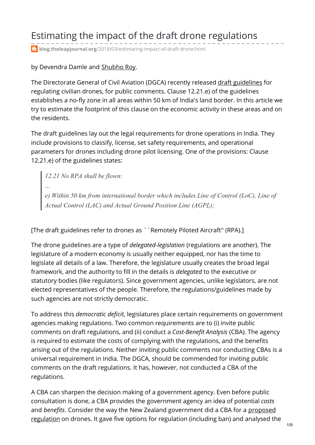# Estimating the impact of the draft drone regulations

**blog.theleapjournal.org**[/2018/03/estimating-impact-of-draft-drone.html](https://blog.theleapjournal.org/2018/03/estimating-impact-of-draft-drone.html)

by Devendra Damle and [Shubho](https://blog.theleapjournal.org/2011/02/author-shubho-roy.html) Roy.

The Directorate General of Civil Aviation (DGCA) recently released draft [guidelines](http://www.dgca.nic.in/misc/draft cars/CAR - UAS (Draft_Nov2017).pdf) for regulating civilian drones, for public comments. Clause 12.21.e) of the guidelines establishes a no-fly zone in all areas within 50 km of India's land border. In this article we try to estimate the footprint of this clause on the economic activity in these areas and on the residents.

The draft guidelines lay out the legal requirements for drone operations in India. They include provisions to classify, license, set safety requirements, and operational parameters for drones including drone pilot licensing. One of the provisions: Clause 12.21.e) of the guidelines states:

*12.21 No RPA shall be flown:* ... *e) Within 50 km from international border which includes Line of Control (LoC), Line of Actual Control (LAC) and Actual Ground Position Line (AGPL);*

[The draft guidelines refer to drones as ``Remotely Piloted Aircraft'' (RPA).]

The drone guidelines are a type of *delegated-legislation* (regulations are another). The legislature of a modern economy is usually neither equipped, nor has the time to legislate all details of a law. Therefore, the legislature usually creates the broad legal framework, and the authority to fill in the details is *delegated* to the executive or statutory bodies (like regulators). Since government agencies, unlike legislators, are not elected representatives of the people. Therefore, the regulations/guidelines made by such agencies are not strictly democratic.

To address this *democratic deficit*, legislatures place certain requirements on government agencies making regulations. Two common requirements are to (i) invite public comments on draft regulations, and (ii) conduct a *Cost-Benefit Analysis* (CBA). The agency is required to estimate the costs of complying with the regulations, and the benefits arising out of the regulations. Neither inviting public comments nor conducting CBAs is a universal requirement in India. The DGCA, should be commended for inviting public comments on the draft regulations. It has, however, not conducted a CBA of the regulations.

A CBA can sharpen the decision making of a government agency. Even before public consultation is done, a CBA provides the government agency an idea of potential *costs* and *benefits*. Consider the way the New Zealand [government](http://www.treasury.govt.nz/publications/informationreleases/ris/pdfs/ris-transport-rpa-jul15.pdf) did a CBA for a proposed regulation on drones. It gave five options for regulation (including ban) and analysed the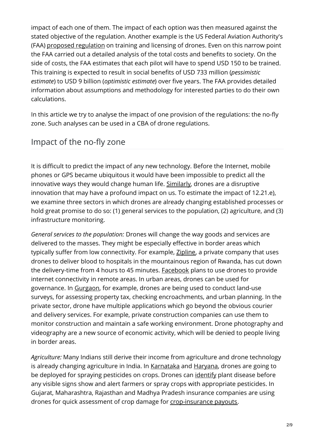impact of each one of them. The impact of each option was then measured against the stated objective of the regulation. Another example is the US Federal Aviation Authority's (FAA) proposed [regulation](https://www.gpo.gov/fdsys/pkg/FR-2016-06-28/pdf/2016-15079.pdf) on training and licensing of drones. Even on this narrow point the FAA carried out a detailed analysis of the total costs and benefits to society. On the side of costs, the FAA estimates that each pilot will have to spend USD 150 to be trained. This training is expected to result in social benefits of USD 733 million (*pessimistic estimate*) to USD 9 billion (*optimistic estimate*) over five years. The FAA provides detailed information about assumptions and methodology for interested parties to do their own calculations.

In this article we try to analyse the impact of one provision of the regulations: the no-fly zone. Such analyses can be used in a CBA of drone regulations.

# Impact of the no-fly zone

It is difficult to predict the impact of any new technology. Before the Internet, mobile phones or GPS became ubiquitous it would have been impossible to predict all the innovative ways they would change human life. [Similarly](https://ajayshahblog.blogspot.in/2016/06/india-needs-drones.html), drones are a disruptive innovation that may have a profound impact on us. To estimate the impact of 12.21.e), we examine three sectors in which drones are already changing established processes or hold great promise to do so: (1) general services to the population, (2) agriculture, and (3) infrastructure monitoring.

*General services to the population:* Drones will change the way goods and services are delivered to the masses. They might be especially effective in border areas which typically suffer from low connectivity. For example, [Zipline](https://www.wired.com/story/zipline-drone-delivery-tanzania/), a private company that uses drones to deliver blood to hospitals in the mountainous region of Rwanda, has cut down the delivery-time from 4 hours to 45 minutes. [Facebook](https://www.theguardian.com/technology/2015/jul/31/facebook-finishes-aquila-solar-powered-internet-drone-with-span-of-a-boeing-737) plans to use drones to provide internet connectivity in remote areas. In urban areas, drones can be used for governance. In [Gurgaon](https://economictimes.indiatimes.com/news/politics-and-nation/drones-complete-aerial-mapping-of-sohna-in-gurgaon-to-create-administrative-tools/articleshow/50304384.cms), for example, drones are being used to conduct land-use surveys, for assessing property tax, checking encroachments, and urban planning. In the private sector, drone have multiple applications which go beyond the obvious courier and delivery services. For example, private construction companies can use them to monitor construction and maintain a safe working environment. Drone photography and videography are a new source of economic activity, which will be denied to people living in border areas.

*Agriculture:* Many Indians still derive their income from agriculture and drone technology is already changing agriculture in India. In [Karnataka](http://www.thehindu.com/news/national/karnataka/now-drone-sprayer-to-help-farmers/article18165585.ece) and [Haryana](https://factordaily.com/haryana-drone-spray-pesticide-ashwani-sihag/), drones are going to be deployed for spraying pesticides on crops. Drones can [identify](https://phys.org/news/2017-04-drones-early-disease-crops.html) plant disease before any visible signs show and alert farmers or spray crops with appropriate pesticides. In Gujarat, Maharashtra, Rajasthan and Madhya Pradesh insurance companies are using drones for quick assessment of crop damage for [crop-insurance](http://www.thehindubusinessline.com/economy/agri-business/insurers-now-using-deploy-drones-to-check-claims-by-farmers/article9583909.ece) payouts.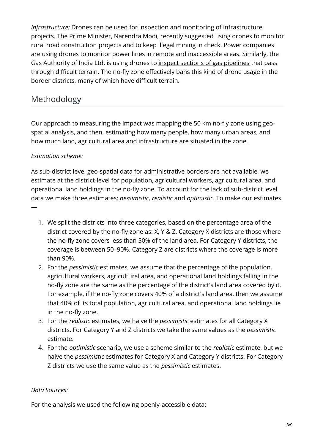*Infrastructure:* Drones can be used for inspection and monitoring of infrastructure projects. The Prime Minister, Narendra Modi, recently suggested using drones to monitor rural road [construction](https://economictimes.indiatimes.com/news/politics-and-nation/use-drones-to-monitor-infrastructure-projects-pm-narendra-modi/articleshow/58471207.cms) projects and to keep illegal mining in check. Power companies are using drones to [monitor](http://www.business-standard.com/article/economy-policy/eye-in-the-sky-drones-to-monitor-power-projects-116012000482_1.html) power lines in remote and inaccessible areas. Similarly, the Gas Authority of India Ltd. is using drones to inspect sections of gas [pipelines](http://www.thehindu.com/business/Industry/drones-to-monitor-gail-pipelines/article8601139.ece) that pass through difficult terrain. The no-fly zone effectively bans this kind of drone usage in the border districts, many of which have difficult terrain.

## Methodology

Our approach to measuring the impact was mapping the 50 km no-fly zone using geospatial analysis, and then, estimating how many people, how many urban areas, and how much land, agricultural area and infrastructure are situated in the zone.

### *Estimation scheme:*

—

As sub-district level geo-spatial data for administrative borders are not available, we estimate at the district-level for population, agricultural workers, agricultural area, and operational land holdings in the no-fly zone. To account for the lack of sub-district level data we make three estimates: *pessimistic*, *realistic* and *optimistic*. To make our estimates

- 1. We split the districts into three categories, based on the percentage area of the district covered by the no-fly zone as: X, Y & Z. Category X districts are those where the no-fly zone covers less than 50% of the land area. For Category Y districts, the coverage is between 50–90%. Category Z are districts where the coverage is more than 90%.
- 2. For the *pessimistic* estimates, we assume that the percentage of the population, agricultural workers, agricultural area, and operational land holdings falling in the no-fly zone are the same as the percentage of the district's land area covered by it. For example, if the no-fly zone covers 40% of a district's land area, then we assume that 40% of its total population, agricultural area, and operational land holdings lie in the no-fly zone.
- 3. For the *realistic* estimates, we halve the *pessimistic* estimates for all Category X districts. For Category Y and Z districts we take the same values as the *pessimistic* estimate.
- 4. For the *optimistic* scenario, we use a scheme similar to the *realistic* estimate, but we halve the *pessimistic* estimates for Category X and Category Y districts. For Category Z districts we use the same value as the *pessimistic* estimates.

#### *Data Sources:*

For the analysis we used the following openly-accessible data: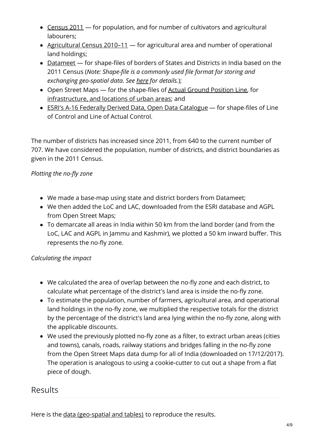- [Census](http://censusindia.gov.in/Tables_Published/A-Series/A-Series_links/t_00_009.aspx) 2011 for population, and for number of cultivators and agricultural labourers;
- [Agricultural](http://agcensus.dacnet.nic.in/districtsummarytype.aspx) Census 2010–11 for agricultural area and number of operational land holdings;
- [Datameet](http://projects.datameet.org/maps/) for shape-files of borders of States and Districts in India based on the 2011 Census (*Note: Shape-file is a commonly used file format for storing and exchanging geo-spatial data. See [here](https://doc.arcgis.com/en/arcgis-online/reference/shapefiles.htm) for details.*);
- Open Street Maps for the shape-files of Actual Ground [Position](https://www.openstreetmap.org/relation/4609726#map=9/35.3779/77.2394) Line, for [infrastructure,](http://download.geofabrik.de/asia/india.html) and locations of urban areas; and
- ESRI's A-16 Federally Derived Data, Open Data [Catalogue](http://open-fedmaps.opendata.arcgis.com/datasets/5e5e9472a8194407beea514157383b31_0) for shape-files of Line of Control and Line of Actual Control.

The number of districts has increased since 2011, from 640 to the current number of 707. We have considered the population, number of districts, and district boundaries as given in the 2011 Census.

## *Plotting the no-fly zone*

- We made a base-map using state and district borders from Datameet;
- We then added the LoC and LAC, downloaded from the ESRI database and AGPL from Open Street Maps;
- To demarcate all areas in India within 50 km from the land border (and from the LoC, LAC and AGPL in Jammu and Kashmir), we plotted a 50 km inward buffer. This represents the no-fly zone.

## *Calculating the impact*

- We calculated the area of overlap between the no-fly zone and each district, to calculate what percentage of the district's land area is inside the no-fly zone.
- To estimate the population, number of farmers, agricultural area, and operational land holdings in the no-fly zone, we multiplied the respective totals for the district by the percentage of the district's land area lying within the no-fly zone, along with the applicable discounts.
- We used the previously plotted no-fly zone as a filter, to extract urban areas (cities and towns), canals, roads, railway stations and bridges falling in the no-fly zone from the Open Street Maps data dump for all of India (downloaded on 17/12/2017). The operation is analogous to using a cookie-cutter to cut out a shape from a flat piece of dough.

## Results

Here is the data [\(geo-spatial](https://drive.google.com/drive/folders/1njKx2tfvyGsdPdNLAykHfAyE5zV5eVp7?usp=sharing) and tables) to reproduce the results.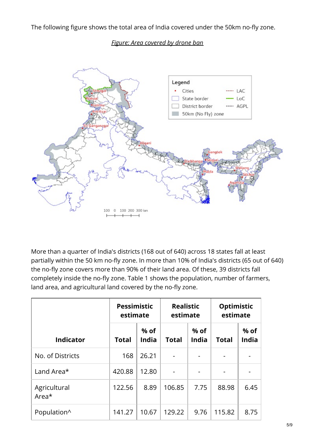The following figure shows the total area of India covered under the 50km no-fly zone.

#### *Figure: Area covered by drone ban*



More than a quarter of India's districts (168 out of 640) across 18 states fall at least partially within the 50 km no-fly zone. In more than 10% of India's districts (65 out of 640) the no-fly zone covers more than 90% of their land area. Of these, 39 districts fall completely inside the no-fly zone. Table 1 shows the population, number of farmers, land area, and agricultural land covered by the no-fly zone.

|                       | <b>Pessimistic</b><br>estimate |                      | <b>Realistic</b><br>estimate |                      | Optimistic<br>estimate |                      |
|-----------------------|--------------------------------|----------------------|------------------------------|----------------------|------------------------|----------------------|
| <b>Indicator</b>      | <b>Total</b>                   | % of<br><b>India</b> | <b>Total</b>                 | % of<br><b>India</b> | <b>Total</b>           | % of<br><b>India</b> |
| No. of Districts      | 168                            | 26.21                |                              |                      |                        |                      |
| Land Area*            | 420.88                         | 12.80                |                              |                      |                        |                      |
| Agricultural<br>Area* | 122.56                         | 8.89                 | 106.85                       | 7.75                 | 88.98                  | 6.45                 |
| Population^           | 141.27                         | 10.67                | 129.22                       | 9.76                 | 115.82                 | 8.75                 |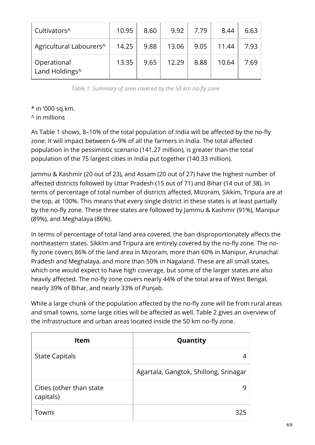| Cultivators <sup>^</sup>                   | 10.95 | 8.60 | 9.92  | 7.79             | 8.44  | 6.63 |
|--------------------------------------------|-------|------|-------|------------------|-------|------|
| Agricultural Labourers^                    | 14.25 | 9.88 | 13.06 | 9.05 $\parallel$ | 11.44 | 7.93 |
| <sup>1</sup> Operational<br>Land Holdings^ | 13.35 | 9.65 | 12.29 | 8.88             | 10.64 | 7.69 |

*Table.1: Summary of area covered by the 50 km no-fly zone*

\* in '000 sq.km.

^ in millions

As Table 1 shows, 8–10% of the total population of India will be affected by the no-fly zone. It will impact between 6–9% of all the farmers in India. The total affected population in the pessimistic scenario (141.27 million), is greater than the total population of the 75 largest cities in India put together (140.33 million).

Jammu & Kashmir (20 out of 23), and Assam (20 out of 27) have the highest number of affected districts followed by Uttar Pradesh (15 out of 71) and Bihar (14 out of 38). In terms of percentage of total number of districts affected, Mizoram, Sikkim, Tripura are at the top, at 100%. This means that every single district in these states is at least partially by the no-fly zone. These three states are followed by Jammu & Kashmir (91%), Manipur (89%), and Meghalaya (86%).

In terms of percentage of total land area covered, the ban disproportionately affects the northeastern states. Sikkim and Tripura are entirely covered by the no-fly zone. The nofly zone covers 86% of the land area in Mizoram, more than 60% in Manipur, Arunachal Pradesh and Meghalaya, and more than 50% in Nagaland. These are all small states, which one would expect to have high coverage, but some of the larger states are also heavily affected. The no-fly zone covers nearly 44% of the total area of West Bengal, nearly 39% of Bihar, and nearly 33% of Punjab.

While a large chunk of the population affected by the no-fly zone will be from rural areas and small towns, some large cities will be affected as well. Table 2 gives an overview of the infrastructure and urban areas located inside the 50 km no-fly zone.

| <b>Item</b>                           | Quantity                              |
|---------------------------------------|---------------------------------------|
| <b>State Capitals</b>                 |                                       |
|                                       | Agartala, Gangtok, Shillong, Srinagar |
| Cities (other than state<br>capitals) |                                       |
| Towns                                 | 325                                   |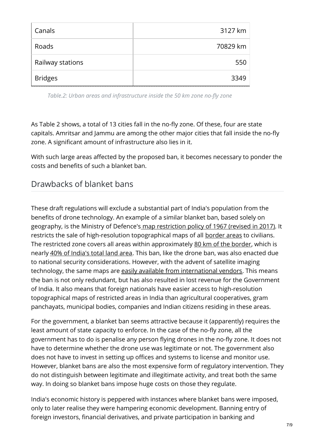| Canals           | 3127 km  |
|------------------|----------|
| Roads            | 70829 km |
| Railway stations | 550      |
| <b>Bridges</b>   | 3349     |

*Table.2: Urban areas and infrastructure inside the 50 km zone no-fly zone*

As Table 2 shows, a total of 13 cities fall in the no-fly zone. Of these, four are state capitals. Amritsar and Jammu are among the other major cities that fall inside the no-fly zone. A significant amount of infrastructure also lies in it.

With such large areas affected by the proposed ban, it becomes necessary to ponder the costs and benefits of such a blanket ban.

## Drawbacks of blanket bans

These draft regulations will exclude a substantial part of India's population from the benefits of drone technology. An example of a similar blanket ban, based solely on geography, is the Ministry of Defence's map [restriction](http://www.surveyofindia.gov.in/files/restriction policy.pdf) policy of 1967 (revised in 2017). It restricts the sale of high-resolution topographical maps of all [border](http://www.surveyofindia.gov.in/files/50 K_2.pdf) areas to civilians. The restricted zone covers all areas within approximately 80 km of the [border](http://www.iisc.ernet.in/~currsci/aug252000/srikantia.pdf), which is nearly 40% of [India's](http://www.downtoearth.org.in/coverage/why-cant-indians-access-maps-for-43-per-cent-of-their-country-12169) total land area. This ban, like the drone ban, was also enacted due to national security considerations. However, with the advent of satellite imaging technology, the same maps are easily available from [international](http://www.downtoearth.org.in/coverage/why-cant-indians-access-maps-for-43-per-cent-of-their-country-12169) vendors. This means the ban is not only redundant, but has also resulted in lost revenue for the Government of India. It also means that foreign nationals have easier access to high-resolution topographical maps of restricted areas in India than agricultural cooperatives, gram panchayats, municipal bodies, companies and Indian citizens residing in these areas.

For the government, a blanket ban seems attractive because it (apparently) requires the least amount of state capacity to enforce. In the case of the no-fly zone, all the government has to do is penalise any person flying drones in the no-fly zone. It does not have to determine whether the drone use was legitimate or not. The government also does not have to invest in setting up offices and systems to license and monitor use. However, blanket bans are also the most expensive form of regulatory intervention. They do not distinguish between legitimate and illegitimate activity, and treat both the same way. In doing so blanket bans impose huge costs on those they regulate.

India's economic history is peppered with instances where blanket bans were imposed, only to later realise they were hampering economic development. Banning entry of foreign investors, financial derivatives, and private participation in banking and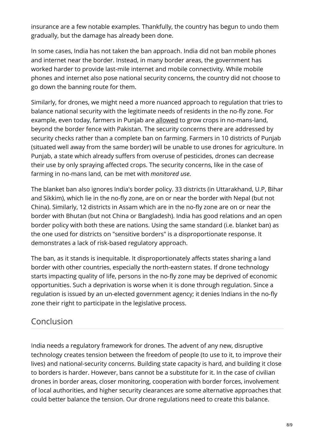insurance are a few notable examples. Thankfully, the country has begun to undo them gradually, but the damage has already been done.

In some cases, India has not taken the ban approach. India did not ban mobile phones and internet near the border. Instead, in many border areas, the government has worked harder to provide last-mile internet and mobile connectivity. While mobile phones and internet also pose national security concerns, the country did not choose to go down the banning route for them.

Similarly, for drones, we might need a more nuanced approach to regulation that tries to balance national security with the legitimate needs of residents in the no-fly zone. For example, even today, farmers in Punjab are [allowed](https://thewire.in/103096/in-border-villages-of-punjab-a-life-of-exclusion-and-neglect/) to grow crops in no-mans-land, beyond the border fence with Pakistan. The security concerns there are addressed by security checks rather than a complete ban on farming. Farmers in 10 districts of Punjab (situated well away from the same border) will be unable to use drones for agriculture. In Punjab, a state which already suffers from overuse of pesticides, drones can decrease their use by only spraying affected crops. The security concerns, like in the case of farming in no-mans land, can be met with *monitored use*.

The blanket ban also ignores India's border policy. 33 districts (in Uttarakhand, U.P, Bihar and Sikkim), which lie in the no-fly zone, are on or near the border with Nepal (but not China). Similarly, 12 districts in Assam which are in the no-fly zone are on or near the border with Bhutan (but not China or Bangladesh). India has good relations and an open border policy with both these are nations. Using the same standard (i.e. blanket ban) as the one used for districts on "sensitive borders" is a disproportionate response. It demonstrates a lack of risk-based regulatory approach.

The ban, as it stands is inequitable. It disproportionately affects states sharing a land border with other countries, especially the north-eastern states. If drone technology starts impacting quality of life, persons in the no-fly zone may be deprived of economic opportunities. Such a deprivation is worse when it is done through regulation. Since a regulation is issued by an un-elected government agency; it denies Indians in the no-fly zone their right to participate in the legislative process.

## Conclusion

India needs a regulatory framework for drones. The advent of any new, disruptive technology creates tension between the freedom of people (to use to it, to improve their lives) and national-security concerns. Building state capacity is hard, and building it close to borders is harder. However, bans cannot be a substitute for it. In the case of civilian drones in border areas, closer monitoring, cooperation with border forces, involvement of local authorities, and higher security clearances are some alternative approaches that could better balance the tension. Our drone regulations need to create this balance.